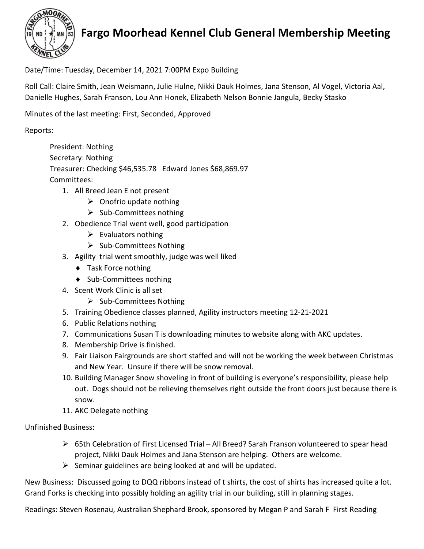

## Fargo Moorhead Kennel Club General Membership Meeting

Date/Time: Tuesday, December 14, 2021 7:00PM Expo Building

Roll Call: Claire Smith, Jean Weismann, Julie Hulne, Nikki Dauk Holmes, Jana Stenson, Al Vogel, Victoria Aal, Danielle Hughes, Sarah Franson, Lou Ann Honek, Elizabeth Nelson Bonnie Jangula, Becky Stasko

Minutes of the last meeting: First, Seconded, Approved

Reports:

President: Nothing Secretary: Nothing Treasurer: Checking \$46,535.78 Edward Jones \$68,869.97 Committees:

- 1. All Breed Jean E not present
	- $\triangleright$  Onofrio update nothing
	- $\triangleright$  Sub-Committees nothing
- 2. Obedience Trial went well, good participation
	- $\triangleright$  Evaluators nothing
	- $\triangleright$  Sub-Committees Nothing
- 3. Agility trial went smoothly, judge was well liked
	- ◆ Task Force nothing
	- ◆ Sub-Committees nothing
- 4. Scent Work Clinic is all set
	- $\triangleright$  Sub-Committees Nothing
- 5. Training Obedience classes planned, Agility instructors meeting 12-21-2021
- 6. Public Relations nothing
- 7. Communications Susan T is downloading minutes to website along with AKC updates.
- 8. Membership Drive is finished.
- 9. Fair Liaison Fairgrounds are short staffed and will not be working the week between Christmas and New Year. Unsure if there will be snow removal.
- 10. Building Manager Snow shoveling in front of building is everyone's responsibility, please help out. Dogs should not be relieving themselves right outside the front doors just because there is snow.
- 11. AKC Delegate nothing

Unfinished Business:

- $\triangleright$  65th Celebration of First Licensed Trial All Breed? Sarah Franson volunteered to spear head project, Nikki Dauk Holmes and Jana Stenson are helping. Others are welcome.
- $\triangleright$  Seminar guidelines are being looked at and will be updated.

New Business: Discussed going to DQQ ribbons instead of t shirts, the cost of shirts has increased quite a lot. Grand Forks is checking into possibly holding an agility trial in our building, still in planning stages.

Readings: Steven Rosenau, Australian Shephard Brook, sponsored by Megan P and Sarah F First Reading